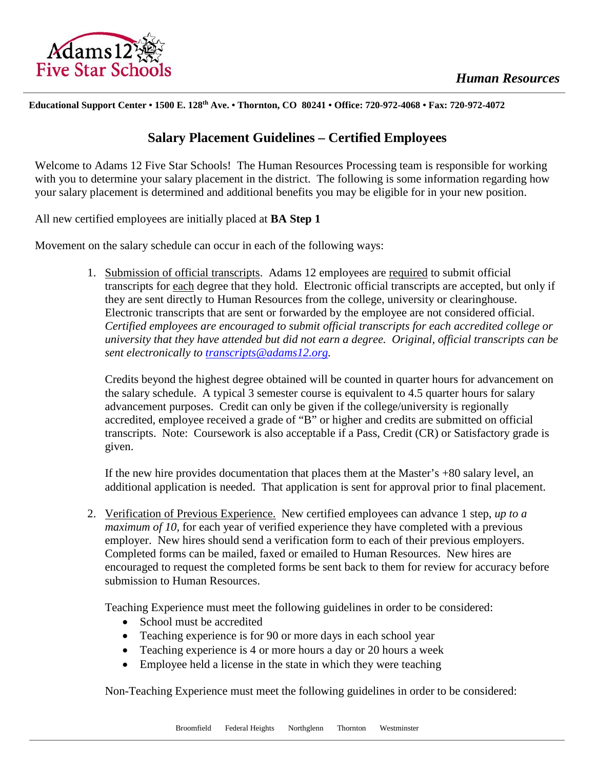

**Educational Support Center • 1500 E. 128th Ave. • Thornton, CO 80241 • Office: 720-972-4068 • Fax: 720-972-4072**

## **Salary Placement Guidelines – Certified Employees**

Welcome to Adams 12 Five Star Schools! The Human Resources Processing team is responsible for working with you to determine your salary placement in the district. The following is some information regarding how your salary placement is determined and additional benefits you may be eligible for in your new position.

All new certified employees are initially placed at **BA Step 1**

Movement on the salary schedule can occur in each of the following ways:

1. Submission of official transcripts. Adams 12 employees are required to submit official transcripts for each degree that they hold. Electronic official transcripts are accepted, but only if they are sent directly to Human Resources from the college, university or clearinghouse. Electronic transcripts that are sent or forwarded by the employee are not considered official. *Certified employees are encouraged to submit official transcripts for each accredited college or university that they have attended but did not earn a degree. Original, official transcripts can be sent electronically to [transcripts@adams12.org.](mailto:transcripts@adams12.org)* 

Credits beyond the highest degree obtained will be counted in quarter hours for advancement on the salary schedule. A typical 3 semester course is equivalent to 4.5 quarter hours for salary advancement purposes. Credit can only be given if the college/university is regionally accredited, employee received a grade of "B" or higher and credits are submitted on official transcripts. Note: Coursework is also acceptable if a Pass, Credit (CR) or Satisfactory grade is given.

If the new hire provides documentation that places them at the Master's +80 salary level, an additional application is needed. That application is sent for approval prior to final placement.

2. Verification of Previous Experience. New certified employees can advance 1 step, *up to a maximum of 10,* for each year of verified experience they have completed with a previous employer. New hires should send a verification form to each of their previous employers. Completed forms can be mailed, faxed or emailed to Human Resources. New hires are encouraged to request the completed forms be sent back to them for review for accuracy before submission to Human Resources.

Teaching Experience must meet the following guidelines in order to be considered:

- School must be accredited
- Teaching experience is for 90 or more days in each school year
- Teaching experience is 4 or more hours a day or 20 hours a week
- Employee held a license in the state in which they were teaching

Non-Teaching Experience must meet the following guidelines in order to be considered: